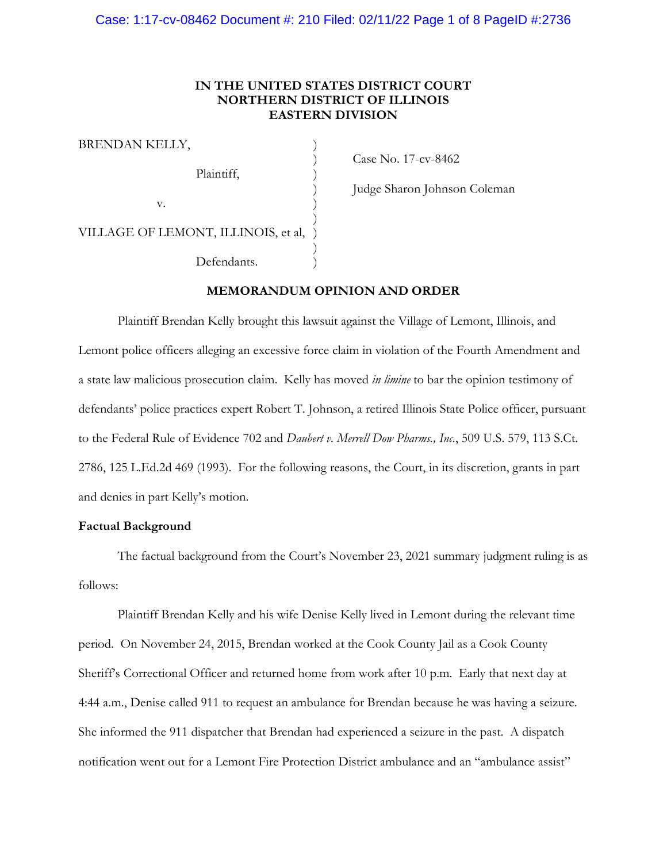# **IN THE UNITED STATES DISTRICT COURT NORTHERN DISTRICT OF ILLINOIS EASTERN DIVISION**

| BRENDAN KELLY,                        |  |
|---------------------------------------|--|
| Plaintiff,                            |  |
| V.                                    |  |
| VILLAGE OF LEMONT, ILLINOIS, et al, ) |  |
| Defendants.                           |  |

) Case No. 17-cv-8462

) Judge Sharon Johnson Coleman

### **MEMORANDUM OPINION AND ORDER**

Plaintiff Brendan Kelly brought this lawsuit against the Village of Lemont, Illinois, and Lemont police officers alleging an excessive force claim in violation of the Fourth Amendment and a state law malicious prosecution claim. Kelly has moved *in limine* to bar the opinion testimony of defendants' police practices expert Robert T. Johnson, a retired Illinois State Police officer, pursuant to the Federal Rule of Evidence 702 and *Daubert v. Merrell Dow Pharms., Inc.*, 509 U.S. 579, 113 S.Ct. 2786, 125 L.Ed.2d 469 (1993). For the following reasons, the Court, in its discretion, grants in part and denies in part Kelly's motion.

# **Factual Background**

The factual background from the Court's November 23, 2021 summary judgment ruling is as follows:

Plaintiff Brendan Kelly and his wife Denise Kelly lived in Lemont during the relevant time period. On November 24, 2015, Brendan worked at the Cook County Jail as a Cook County Sheriff's Correctional Officer and returned home from work after 10 p.m. Early that next day at 4:44 a.m., Denise called 911 to request an ambulance for Brendan because he was having a seizure. She informed the 911 dispatcher that Brendan had experienced a seizure in the past. A dispatch notification went out for a Lemont Fire Protection District ambulance and an "ambulance assist"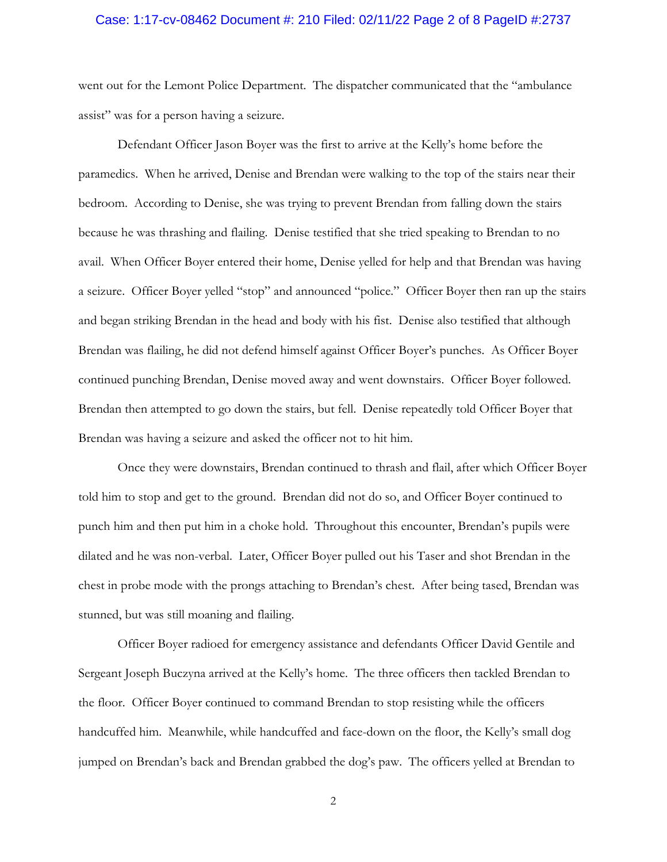## Case: 1:17-cv-08462 Document #: 210 Filed: 02/11/22 Page 2 of 8 PageID #:2737

went out for the Lemont Police Department. The dispatcher communicated that the "ambulance assist" was for a person having a seizure.

Defendant Officer Jason Boyer was the first to arrive at the Kelly's home before the paramedics. When he arrived, Denise and Brendan were walking to the top of the stairs near their bedroom. According to Denise, she was trying to prevent Brendan from falling down the stairs because he was thrashing and flailing. Denise testified that she tried speaking to Brendan to no avail. When Officer Boyer entered their home, Denise yelled for help and that Brendan was having a seizure. Officer Boyer yelled "stop" and announced "police." Officer Boyer then ran up the stairs and began striking Brendan in the head and body with his fist. Denise also testified that although Brendan was flailing, he did not defend himself against Officer Boyer's punches. As Officer Boyer continued punching Brendan, Denise moved away and went downstairs. Officer Boyer followed. Brendan then attempted to go down the stairs, but fell. Denise repeatedly told Officer Boyer that Brendan was having a seizure and asked the officer not to hit him.

Once they were downstairs, Brendan continued to thrash and flail, after which Officer Boyer told him to stop and get to the ground. Brendan did not do so, and Officer Boyer continued to punch him and then put him in a choke hold. Throughout this encounter, Brendan's pupils were dilated and he was non-verbal. Later, Officer Boyer pulled out his Taser and shot Brendan in the chest in probe mode with the prongs attaching to Brendan's chest. After being tased, Brendan was stunned, but was still moaning and flailing.

Officer Boyer radioed for emergency assistance and defendants Officer David Gentile and Sergeant Joseph Buczyna arrived at the Kelly's home. The three officers then tackled Brendan to the floor. Officer Boyer continued to command Brendan to stop resisting while the officers handcuffed him. Meanwhile, while handcuffed and face-down on the floor, the Kelly's small dog jumped on Brendan's back and Brendan grabbed the dog's paw. The officers yelled at Brendan to

2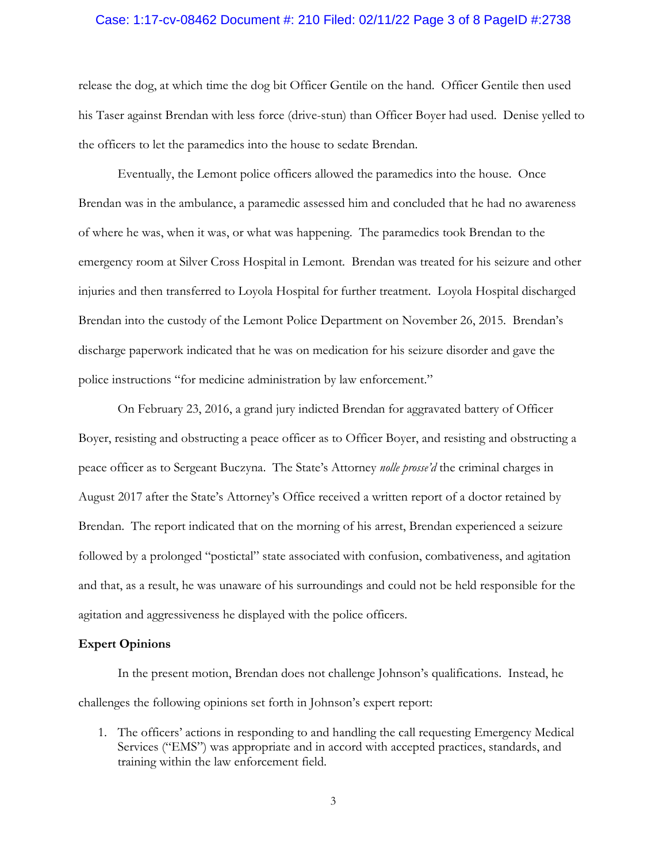## Case: 1:17-cv-08462 Document #: 210 Filed: 02/11/22 Page 3 of 8 PageID #:2738

release the dog, at which time the dog bit Officer Gentile on the hand. Officer Gentile then used his Taser against Brendan with less force (drive-stun) than Officer Boyer had used. Denise yelled to the officers to let the paramedics into the house to sedate Brendan.

Eventually, the Lemont police officers allowed the paramedics into the house. Once Brendan was in the ambulance, a paramedic assessed him and concluded that he had no awareness of where he was, when it was, or what was happening. The paramedics took Brendan to the emergency room at Silver Cross Hospital in Lemont. Brendan was treated for his seizure and other injuries and then transferred to Loyola Hospital for further treatment. Loyola Hospital discharged Brendan into the custody of the Lemont Police Department on November 26, 2015. Brendan's discharge paperwork indicated that he was on medication for his seizure disorder and gave the police instructions "for medicine administration by law enforcement."

On February 23, 2016, a grand jury indicted Brendan for aggravated battery of Officer Boyer, resisting and obstructing a peace officer as to Officer Boyer, and resisting and obstructing a peace officer as to Sergeant Buczyna. The State's Attorney *nolle prosse'd* the criminal charges in August 2017 after the State's Attorney's Office received a written report of a doctor retained by Brendan. The report indicated that on the morning of his arrest, Brendan experienced a seizure followed by a prolonged "postictal" state associated with confusion, combativeness, and agitation and that, as a result, he was unaware of his surroundings and could not be held responsible for the agitation and aggressiveness he displayed with the police officers.

### **Expert Opinions**

In the present motion, Brendan does not challenge Johnson's qualifications. Instead, he challenges the following opinions set forth in Johnson's expert report:

1. The officers' actions in responding to and handling the call requesting Emergency Medical Services ("EMS") was appropriate and in accord with accepted practices, standards, and training within the law enforcement field.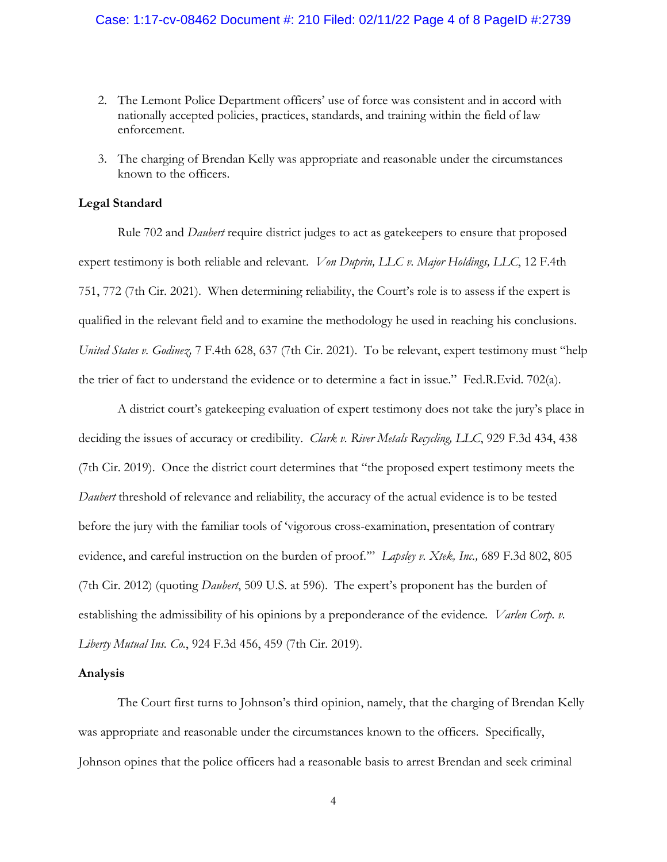- 2. The Lemont Police Department officers' use of force was consistent and in accord with nationally accepted policies, practices, standards, and training within the field of law enforcement.
- 3. The charging of Brendan Kelly was appropriate and reasonable under the circumstances known to the officers.

# **Legal Standard**

Rule 702 and *Daubert* require district judges to act as gatekeepers to ensure that proposed expert testimony is both reliable and relevant. *Von Duprin, LLC v. Major Holdings, LLC*, 12 F.4th 751, 772 (7th Cir. 2021). When determining reliability, the Court's role is to assess if the expert is qualified in the relevant field and to examine the methodology he used in reaching his conclusions. *United States v. Godinez,* 7 F.4th 628, 637 (7th Cir. 2021). To be relevant, expert testimony must "help the trier of fact to understand the evidence or to determine a fact in issue." Fed.R.Evid. 702(a).

A district court's gatekeeping evaluation of expert testimony does not take the jury's place in deciding the issues of accuracy or credibility. *Clark v. River Metals Recycling, LLC*, 929 F.3d 434, 438 (7th Cir. 2019). Once the district court determines that "the proposed expert testimony meets the *Daubert* threshold of relevance and reliability, the accuracy of the actual evidence is to be tested before the jury with the familiar tools of 'vigorous cross-examination, presentation of contrary evidence, and careful instruction on the burden of proof.'" *Lapsley v. Xtek, Inc.,* 689 F.3d 802, 805 (7th Cir. 2012) (quoting *Daubert*, 509 U.S. at 596). The expert's proponent has the burden of establishing the admissibility of his opinions by a preponderance of the evidence*. Varlen Corp. v. Liberty Mutual Ins. Co.*, 924 F.3d 456, 459 (7th Cir. 2019).

#### **Analysis**

The Court first turns to Johnson's third opinion, namely, that the charging of Brendan Kelly was appropriate and reasonable under the circumstances known to the officers. Specifically, Johnson opines that the police officers had a reasonable basis to arrest Brendan and seek criminal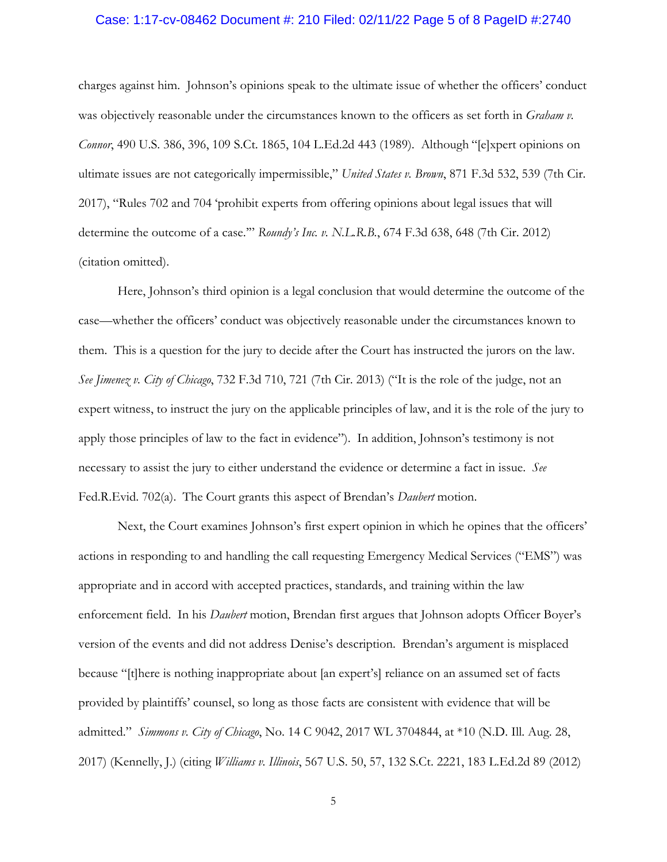## Case: 1:17-cv-08462 Document #: 210 Filed: 02/11/22 Page 5 of 8 PageID #:2740

charges against him. Johnson's opinions speak to the ultimate issue of whether the officers' conduct was objectively reasonable under the circumstances known to the officers as set forth in *Graham v. Connor*, 490 U.S. 386, 396, 109 S.Ct. 1865, 104 L.Ed.2d 443 (1989). Although "[e]xpert opinions on ultimate issues are not categorically impermissible," *United States v. Brown*, 871 F.3d 532, 539 (7th Cir. 2017), "Rules 702 and 704 'prohibit experts from offering opinions about legal issues that will determine the outcome of a case.'" *Roundy's Inc. v. N.L.R.B.*, 674 F.3d 638, 648 (7th Cir. 2012) (citation omitted).

Here, Johnson's third opinion is a legal conclusion that would determine the outcome of the case—whether the officers' conduct was objectively reasonable under the circumstances known to them. This is a question for the jury to decide after the Court has instructed the jurors on the law. *See Jimenez v. City of Chicago*, 732 F.3d 710, 721 (7th Cir. 2013) ("It is the role of the judge, not an expert witness, to instruct the jury on the applicable principles of law, and it is the role of the jury to apply those principles of law to the fact in evidence"). In addition, Johnson's testimony is not necessary to assist the jury to either understand the evidence or determine a fact in issue. *See* Fed.R.Evid. 702(a). The Court grants this aspect of Brendan's *Daubert* motion.

Next, the Court examines Johnson's first expert opinion in which he opines that the officers' actions in responding to and handling the call requesting Emergency Medical Services ("EMS") was appropriate and in accord with accepted practices, standards, and training within the law enforcement field. In his *Daubert* motion, Brendan first argues that Johnson adopts Officer Boyer's version of the events and did not address Denise's description. Brendan's argument is misplaced because "[t]here is nothing inappropriate about [an expert's] reliance on an assumed set of facts provided by plaintiffs' counsel, so long as those facts are consistent with evidence that will be admitted." *Simmons v. City of Chicago*, No. 14 C 9042, 2017 WL 3704844, at \*10 (N.D. Ill. Aug. 28, 2017) (Kennelly, J.) (citing *Williams v. Illinois*, 567 U.S. 50, 57, 132 S.Ct. 2221, 183 L.Ed.2d 89 (2012)

5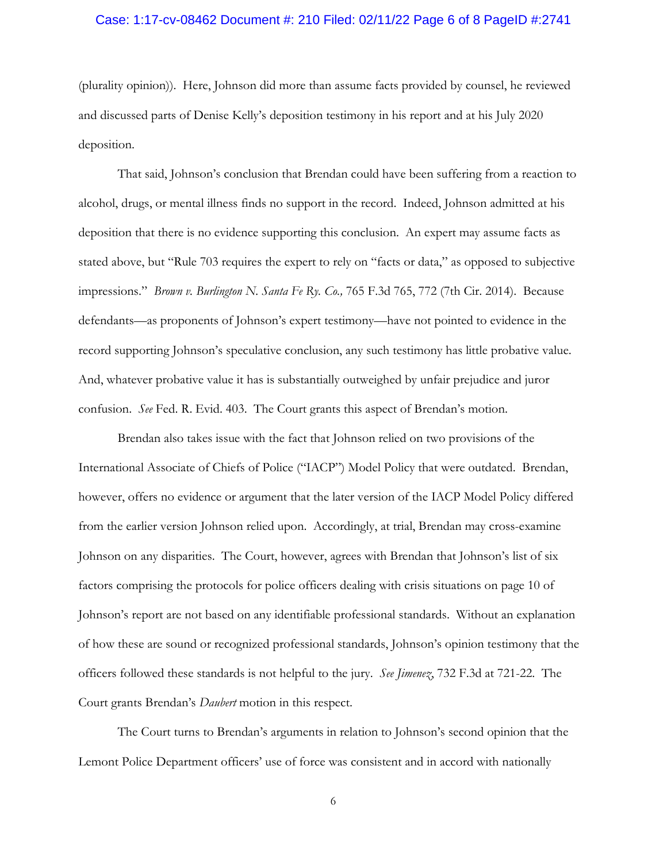## Case: 1:17-cv-08462 Document #: 210 Filed: 02/11/22 Page 6 of 8 PageID #:2741

(plurality opinion)). Here, Johnson did more than assume facts provided by counsel, he reviewed and discussed parts of Denise Kelly's deposition testimony in his report and at his July 2020 deposition.

That said, Johnson's conclusion that Brendan could have been suffering from a reaction to alcohol, drugs, or mental illness finds no support in the record. Indeed, Johnson admitted at his deposition that there is no evidence supporting this conclusion. An expert may assume facts as stated above, but "Rule 703 requires the expert to rely on "facts or data," as opposed to subjective impressions." *Brown v. Burlington N. Santa Fe Ry. Co.,* 765 F.3d 765, 772 (7th Cir. 2014). Because defendants—as proponents of Johnson's expert testimony—have not pointed to evidence in the record supporting Johnson's speculative conclusion, any such testimony has little probative value. And, whatever probative value it has is substantially outweighed by unfair prejudice and juror confusion. *See* Fed. R. Evid. 403. The Court grants this aspect of Brendan's motion.

Brendan also takes issue with the fact that Johnson relied on two provisions of the International Associate of Chiefs of Police ("IACP") Model Policy that were outdated. Brendan, however, offers no evidence or argument that the later version of the IACP Model Policy differed from the earlier version Johnson relied upon. Accordingly, at trial, Brendan may cross-examine Johnson on any disparities. The Court, however, agrees with Brendan that Johnson's list of six factors comprising the protocols for police officers dealing with crisis situations on page 10 of Johnson's report are not based on any identifiable professional standards. Without an explanation of how these are sound or recognized professional standards, Johnson's opinion testimony that the officers followed these standards is not helpful to the jury. *See Jimenez*, 732 F.3d at 721-22. The Court grants Brendan's *Daubert* motion in this respect.

The Court turns to Brendan's arguments in relation to Johnson's second opinion that the Lemont Police Department officers' use of force was consistent and in accord with nationally

6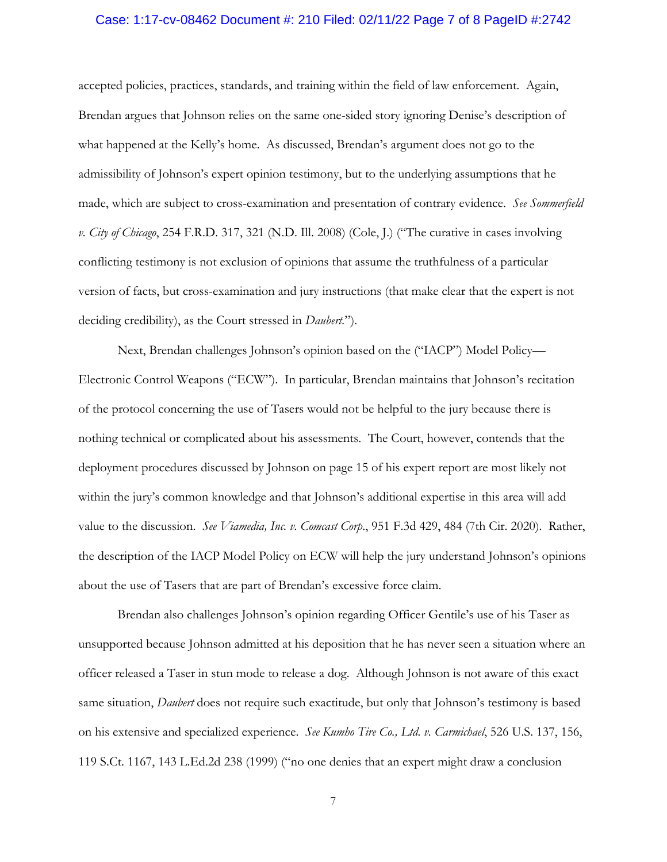## Case: 1:17-cv-08462 Document #: 210 Filed: 02/11/22 Page 7 of 8 PageID #:2742

accepted policies, practices, standards, and training within the field of law enforcement. Again, Brendan argues that Johnson relies on the same one-sided story ignoring Denise's description of what happened at the Kelly's home. As discussed, Brendan's argument does not go to the admissibility of Johnson's expert opinion testimony, but to the underlying assumptions that he made, which are subject to cross-examination and presentation of contrary evidence. *See Sommerfield v. City of Chicago*, 254 F.R.D. 317, 321 (N.D. Ill. 2008) (Cole, J.) ("The curative in cases involving conflicting testimony is not exclusion of opinions that assume the truthfulness of a particular version of facts, but cross-examination and jury instructions (that make clear that the expert is not deciding credibility), as the Court stressed in *Daubert.*").

Next, Brendan challenges Johnson's opinion based on the ("IACP") Model Policy— Electronic Control Weapons ("ECW"). In particular, Brendan maintains that Johnson's recitation of the protocol concerning the use of Tasers would not be helpful to the jury because there is nothing technical or complicated about his assessments. The Court, however, contends that the deployment procedures discussed by Johnson on page 15 of his expert report are most likely not within the jury's common knowledge and that Johnson's additional expertise in this area will add value to the discussion. *See Viamedia, Inc. v. Comcast Corp*., 951 F.3d 429, 484 (7th Cir. 2020). Rather, the description of the IACP Model Policy on ECW will help the jury understand Johnson's opinions about the use of Tasers that are part of Brendan's excessive force claim.

Brendan also challenges Johnson's opinion regarding Officer Gentile's use of his Taser as unsupported because Johnson admitted at his deposition that he has never seen a situation where an officer released a Taser in stun mode to release a dog. Although Johnson is not aware of this exact same situation, *Daubert* does not require such exactitude, but only that Johnson's testimony is based on his extensive and specialized experience. *See Kumho Tire Co., Ltd. v. Carmichael*, 526 U.S. 137, 156, 119 S.Ct. 1167, 143 L.Ed.2d 238 (1999) ("no one denies that an expert might draw a conclusion